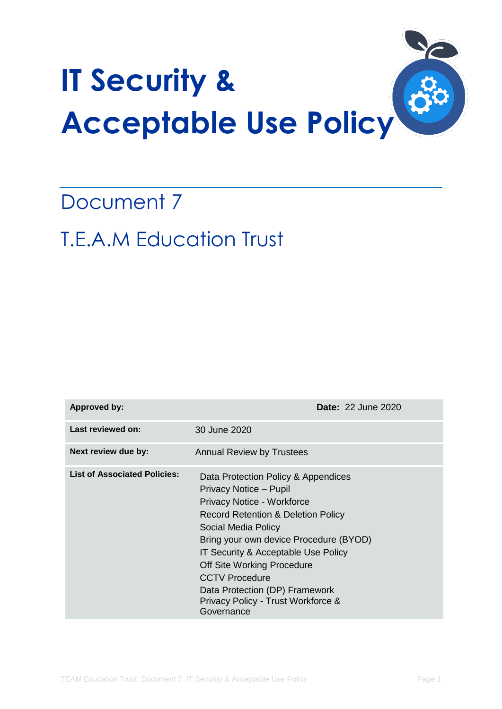

# Document 7 T.E.A.M Education Trust

| <b>Approved by:</b>                 | <b>Date: 22 June 2020</b>                                                                                                                                                                                                                                                                                                                                                                         |
|-------------------------------------|---------------------------------------------------------------------------------------------------------------------------------------------------------------------------------------------------------------------------------------------------------------------------------------------------------------------------------------------------------------------------------------------------|
| Last reviewed on:                   | 30 June 2020                                                                                                                                                                                                                                                                                                                                                                                      |
| Next review due by:                 | <b>Annual Review by Trustees</b>                                                                                                                                                                                                                                                                                                                                                                  |
| <b>List of Associated Policies:</b> | Data Protection Policy & Appendices<br>Privacy Notice - Pupil<br>Privacy Notice - Workforce<br><b>Record Retention &amp; Deletion Policy</b><br>Social Media Policy<br>Bring your own device Procedure (BYOD)<br>IT Security & Acceptable Use Policy<br>Off Site Working Procedure<br><b>CCTV Procedure</b><br>Data Protection (DP) Framework<br>Privacy Policy - Trust Workforce &<br>Governance |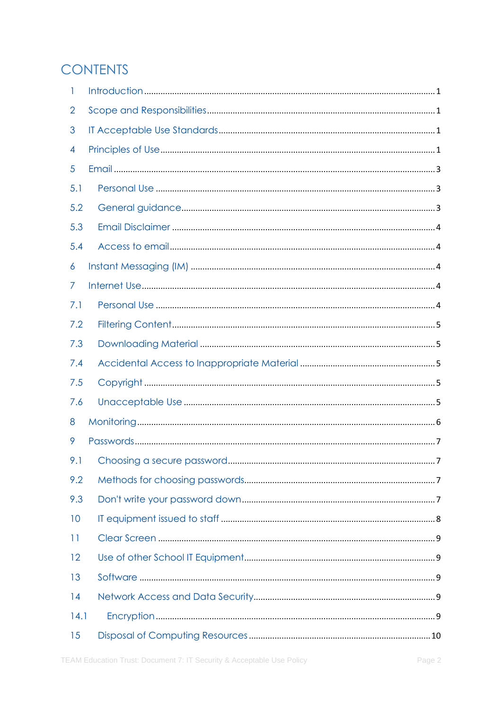# **CONTENTS**

| 1    |  |
|------|--|
| 2    |  |
| 3    |  |
| 4    |  |
| 5    |  |
| 5.1  |  |
| 5.2  |  |
| 5.3  |  |
| 5.4  |  |
| 6    |  |
| 7    |  |
| 7.1  |  |
| 7.2  |  |
| 7.3  |  |
| 7.4  |  |
| 7.5  |  |
| 7.6  |  |
| 8    |  |
| 9    |  |
|      |  |
| 9.2  |  |
| 9.3  |  |
| 10   |  |
| 11   |  |
| 12   |  |
| 13   |  |
| 14   |  |
| 14.1 |  |
| 15   |  |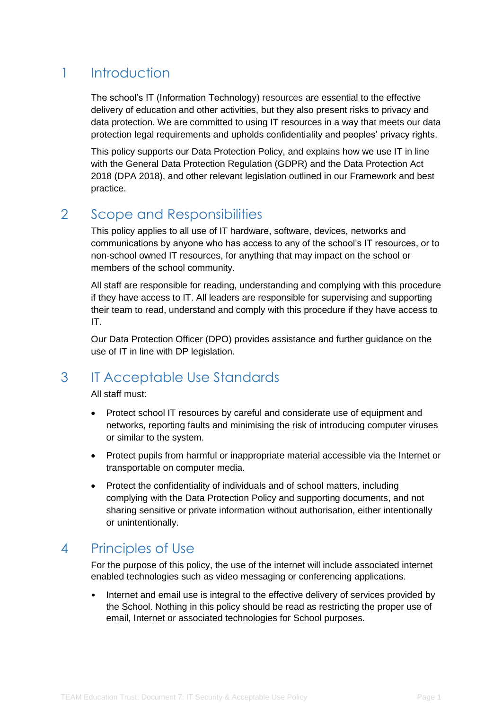# <span id="page-3-0"></span>1 Introduction

The school's IT (Information Technology) resources are essential to the effective delivery of education and other activities, but they also present risks to privacy and data protection. We are committed to using IT resources in a way that meets our data protection legal requirements and upholds confidentiality and peoples' privacy rights.

This policy supports our Data Protection Policy, and explains how we use IT in line with the General Data Protection Regulation (GDPR) and the Data Protection Act 2018 (DPA 2018), and other relevant legislation outlined in our Framework and best practice.

# <span id="page-3-1"></span>2 Scope and Responsibilities

This policy applies to all use of IT hardware, software, devices, networks and communications by anyone who has access to any of the school's IT resources, or to non-school owned IT resources, for anything that may impact on the school or members of the school community.

All staff are responsible for reading, understanding and complying with this procedure if they have access to IT. All leaders are responsible for supervising and supporting their team to read, understand and comply with this procedure if they have access to IT.

Our Data Protection Officer (DPO) provides assistance and further guidance on the use of IT in line with DP legislation.

# <span id="page-3-2"></span>3 IT Acceptable Use Standards

All staff must:

- Protect school IT resources by careful and considerate use of equipment and networks, reporting faults and minimising the risk of introducing computer viruses or similar to the system.
- Protect pupils from harmful or inappropriate material accessible via the Internet or transportable on computer media.
- Protect the confidentiality of individuals and of school matters, including complying with the Data Protection Policy and supporting documents, and not sharing sensitive or private information without authorisation, either intentionally or unintentionally.

# <span id="page-3-3"></span>4 Principles of Use

For the purpose of this policy, the use of the internet will include associated internet enabled technologies such as video messaging or conferencing applications.

• Internet and email use is integral to the effective delivery of services provided by the School. Nothing in this policy should be read as restricting the proper use of email, Internet or associated technologies for School purposes.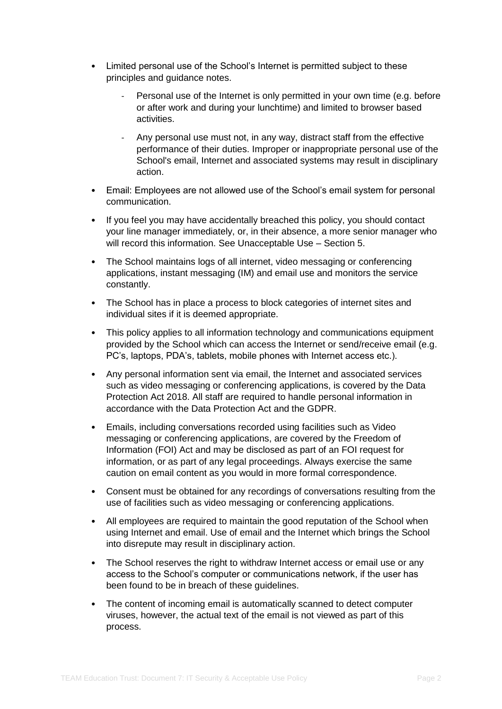- Limited personal use of the School's Internet is permitted subject to these principles and guidance notes.
	- Personal use of the Internet is only permitted in your own time (e.g. before or after work and during your lunchtime) and limited to browser based activities.
	- Any personal use must not, in any way, distract staff from the effective performance of their duties. Improper or inappropriate personal use of the School's email, Internet and associated systems may result in disciplinary action.
- Email: Employees are not allowed use of the School's email system for personal communication.
- If you feel you may have accidentally breached this policy, you should contact your line manager immediately, or, in their absence, a more senior manager who will record this information. See Unacceptable Use – Section 5.
- The School maintains logs of all internet, video messaging or conferencing applications, instant messaging (IM) and email use and monitors the service constantly.
- The School has in place a process to block categories of internet sites and individual sites if it is deemed appropriate.
- This policy applies to all information technology and communications equipment provided by the School which can access the Internet or send/receive email (e.g. PC's, laptops, PDA's, tablets, mobile phones with Internet access etc.).
- Any personal information sent via email, the Internet and associated services such as video messaging or conferencing applications, is covered by the Data Protection Act 2018. All staff are required to handle personal information in accordance with the Data Protection Act and the GDPR.
- Emails, including conversations recorded using facilities such as Video messaging or conferencing applications, are covered by the Freedom of Information (FOI) Act and may be disclosed as part of an FOI request for information, or as part of any legal proceedings. Always exercise the same caution on email content as you would in more formal correspondence.
- Consent must be obtained for any recordings of conversations resulting from the use of facilities such as video messaging or conferencing applications.
- All employees are required to maintain the good reputation of the School when using Internet and email. Use of email and the Internet which brings the School into disrepute may result in disciplinary action.
- The School reserves the right to withdraw Internet access or email use or any access to the School's computer or communications network, if the user has been found to be in breach of these guidelines.
- The content of incoming email is automatically scanned to detect computer viruses, however, the actual text of the email is not viewed as part of this process.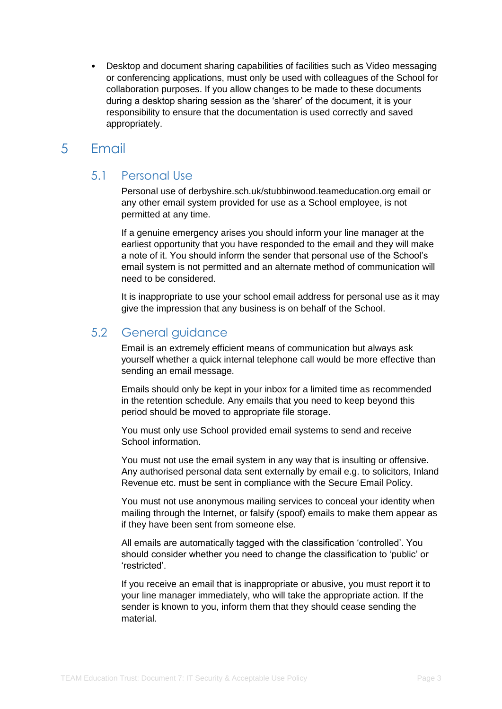• Desktop and document sharing capabilities of facilities such as Video messaging or conferencing applications, must only be used with colleagues of the School for collaboration purposes. If you allow changes to be made to these documents during a desktop sharing session as the 'sharer' of the document, it is your responsibility to ensure that the documentation is used correctly and saved appropriately.

# <span id="page-5-0"></span>5 Email

### <span id="page-5-1"></span>5.1 Personal Use

Personal use of derbyshire.sch.uk/stubbinwood.teameducation.org email or any other email system provided for use as a School employee, is not permitted at any time.

If a genuine emergency arises you should inform your line manager at the earliest opportunity that you have responded to the email and they will make a note of it. You should inform the sender that personal use of the School's email system is not permitted and an alternate method of communication will need to be considered.

It is inappropriate to use your school email address for personal use as it may give the impression that any business is on behalf of the School.

# <span id="page-5-2"></span>5.2 General guidance

Email is an extremely efficient means of communication but always ask yourself whether a quick internal telephone call would be more effective than sending an email message.

Emails should only be kept in your inbox for a limited time as recommended in the retention schedule. Any emails that you need to keep beyond this period should be moved to appropriate file storage.

You must only use School provided email systems to send and receive School information.

You must not use the email system in any way that is insulting or offensive. Any authorised personal data sent externally by email e.g. to solicitors, Inland Revenue etc. must be sent in compliance with the Secure Email Policy.

You must not use anonymous mailing services to conceal your identity when mailing through the Internet, or falsify (spoof) emails to make them appear as if they have been sent from someone else.

All emails are automatically tagged with the classification 'controlled'. You should consider whether you need to change the classification to 'public' or 'restricted'.

If you receive an email that is inappropriate or abusive, you must report it to your line manager immediately, who will take the appropriate action. If the sender is known to you, inform them that they should cease sending the material.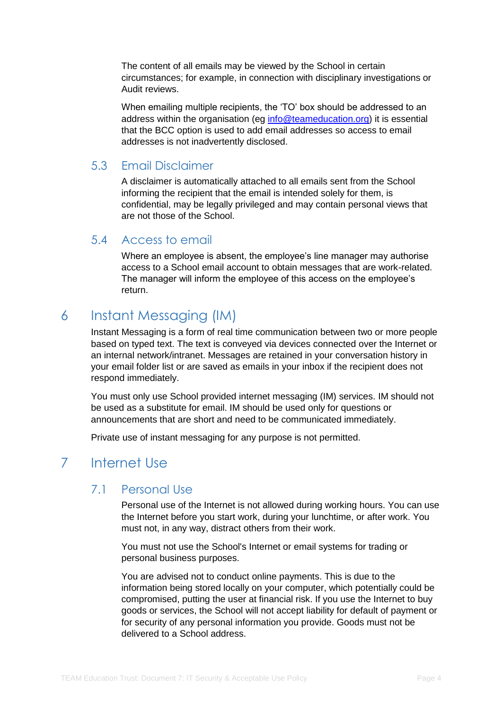The content of all emails may be viewed by the School in certain circumstances; for example, in connection with disciplinary investigations or Audit reviews.

When emailing multiple recipients, the 'TO' box should be addressed to an address within the organisation (eg [info@teameducation.org\)](mailto:info@teameducation.org) it is essential that the BCC option is used to add email addresses so access to email addresses is not inadvertently disclosed.

### <span id="page-6-0"></span>5.3 Email Disclaimer

A disclaimer is automatically attached to all emails sent from the School informing the recipient that the email is intended solely for them, is confidential, may be legally privileged and may contain personal views that are not those of the School.

### <span id="page-6-1"></span>5.4 Access to email

Where an employee is absent, the employee's line manager may authorise access to a School email account to obtain messages that are work-related. The manager will inform the employee of this access on the employee's return.

# <span id="page-6-2"></span>6 Instant Messaging (IM)

Instant Messaging is a form of real time communication between two or more people based on typed text. The text is conveyed via devices connected over the Internet or an internal network/intranet. Messages are retained in your conversation history in your email folder list or are saved as emails in your inbox if the recipient does not respond immediately.

You must only use School provided internet messaging (IM) services. IM should not be used as a substitute for email. IM should be used only for questions or announcements that are short and need to be communicated immediately.

Private use of instant messaging for any purpose is not permitted.

# <span id="page-6-3"></span>7 Internet Use

### <span id="page-6-4"></span>7.1 Personal Use

Personal use of the Internet is not allowed during working hours. You can use the Internet before you start work, during your lunchtime, or after work. You must not, in any way, distract others from their work.

You must not use the School's Internet or email systems for trading or personal business purposes.

You are advised not to conduct online payments. This is due to the information being stored locally on your computer, which potentially could be compromised, putting the user at financial risk. If you use the Internet to buy goods or services, the School will not accept liability for default of payment or for security of any personal information you provide. Goods must not be delivered to a School address.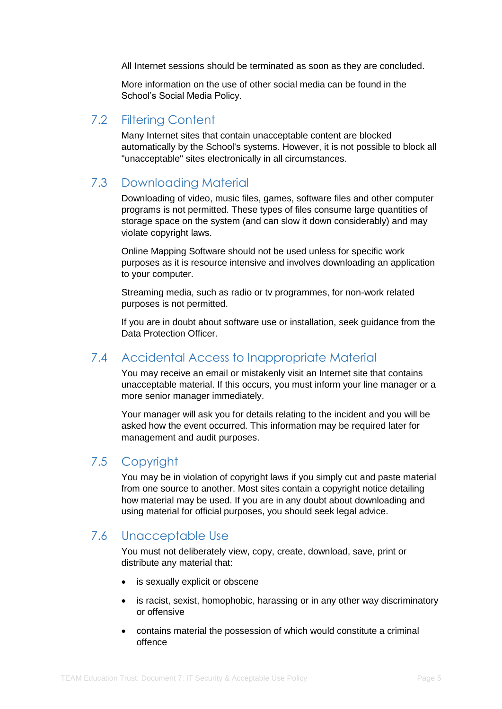All Internet sessions should be terminated as soon as they are concluded.

More information on the use of other social media can be found in the School's Social Media Policy.

### <span id="page-7-0"></span>7.2 Filtering Content

Many Internet sites that contain unacceptable content are blocked automatically by the School's systems. However, it is not possible to block all "unacceptable" sites electronically in all circumstances.

### <span id="page-7-1"></span>7.3 Downloading Material

Downloading of video, music files, games, software files and other computer programs is not permitted. These types of files consume large quantities of storage space on the system (and can slow it down considerably) and may violate copyright laws.

Online Mapping Software should not be used unless for specific work purposes as it is resource intensive and involves downloading an application to your computer.

Streaming media, such as radio or tv programmes, for non-work related purposes is not permitted.

If you are in doubt about software use or installation, seek guidance from the Data Protection Officer.

## <span id="page-7-2"></span>7.4 Accidental Access to Inappropriate Material

You may receive an email or mistakenly visit an Internet site that contains unacceptable material. If this occurs, you must inform your line manager or a more senior manager immediately.

Your manager will ask you for details relating to the incident and you will be asked how the event occurred. This information may be required later for management and audit purposes.

### <span id="page-7-3"></span>7.5 Copyright

You may be in violation of copyright laws if you simply cut and paste material from one source to another. Most sites contain a copyright notice detailing how material may be used. If you are in any doubt about downloading and using material for official purposes, you should seek legal advice.

## <span id="page-7-4"></span>7.6 Unacceptable Use

You must not deliberately view, copy, create, download, save, print or distribute any material that:

- is sexually explicit or obscene
- is racist, sexist, homophobic, harassing or in any other way discriminatory or offensive
- contains material the possession of which would constitute a criminal offence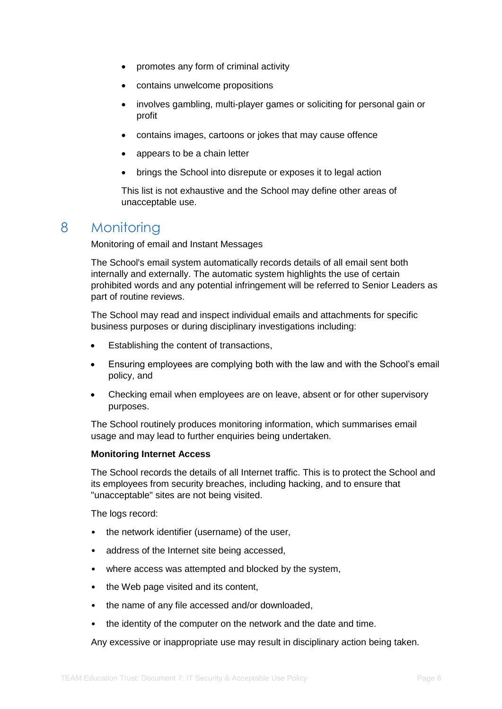- promotes any form of criminal activity
- contains unwelcome propositions
- involves gambling, multi-player games or soliciting for personal gain or profit
- contains images, cartoons or jokes that may cause offence
- appears to be a chain letter
- brings the School into disrepute or exposes it to legal action

This list is not exhaustive and the School may define other areas of unacceptable use.

# <span id="page-8-0"></span>8 Monitoring

Monitoring of email and Instant Messages

The School's email system automatically records details of all email sent both internally and externally. The automatic system highlights the use of certain prohibited words and any potential infringement will be referred to Senior Leaders as part of routine reviews.

The School may read and inspect individual emails and attachments for specific business purposes or during disciplinary investigations including:

- Establishing the content of transactions,
- Ensuring employees are complying both with the law and with the School's email policy, and
- Checking email when employees are on leave, absent or for other supervisory purposes.

The School routinely produces monitoring information, which summarises email usage and may lead to further enquiries being undertaken.

#### **Monitoring Internet Access**

The School records the details of all Internet traffic. This is to protect the School and its employees from security breaches, including hacking, and to ensure that "unacceptable" sites are not being visited.

The logs record:

- the network identifier (username) of the user,
- address of the Internet site being accessed,
- where access was attempted and blocked by the system,
- the Web page visited and its content,
- the name of any file accessed and/or downloaded,
- the identity of the computer on the network and the date and time.

Any excessive or inappropriate use may result in disciplinary action being taken.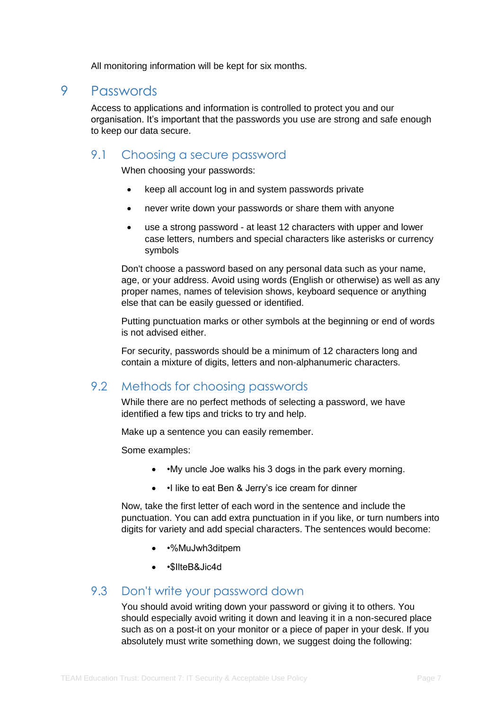All monitoring information will be kept for six months.

### <span id="page-9-0"></span>9 Passwords

Access to applications and information is controlled to protect you and our organisation. It's important that the passwords you use are strong and safe enough to keep our data secure.

### <span id="page-9-1"></span>9.1 Choosing a secure password

When choosing your passwords:

- keep all account log in and system passwords private
- never write down your passwords or share them with anyone
- use a strong password at least 12 characters with upper and lower case letters, numbers and special characters like asterisks or currency symbols

Don't choose a password based on any personal data such as your name, age, or your address. Avoid using words (English or otherwise) as well as any proper names, names of television shows, keyboard sequence or anything else that can be easily guessed or identified.

Putting punctuation marks or other symbols at the beginning or end of words is not advised either.

For security, passwords should be a minimum of 12 characters long and contain a mixture of digits, letters and non-alphanumeric characters.

### <span id="page-9-2"></span>9.2 Methods for choosing passwords

While there are no perfect methods of selecting a password, we have identified a few tips and tricks to try and help.

Make up a sentence you can easily remember.

Some examples:

- •My uncle Joe walks his 3 dogs in the park every morning.
- • I like to eat Ben & Jerry's ice cream for dinner

Now, take the first letter of each word in the sentence and include the punctuation. You can add extra punctuation in if you like, or turn numbers into digits for variety and add special characters. The sentences would become:

- •%MuJwh3ditpem
- • SilteB&Jic4d

### <span id="page-9-3"></span>9.3 Don't write your password down

You should avoid writing down your password or giving it to others. You should especially avoid writing it down and leaving it in a non-secured place such as on a post-it on your monitor or a piece of paper in your desk. If you absolutely must write something down, we suggest doing the following: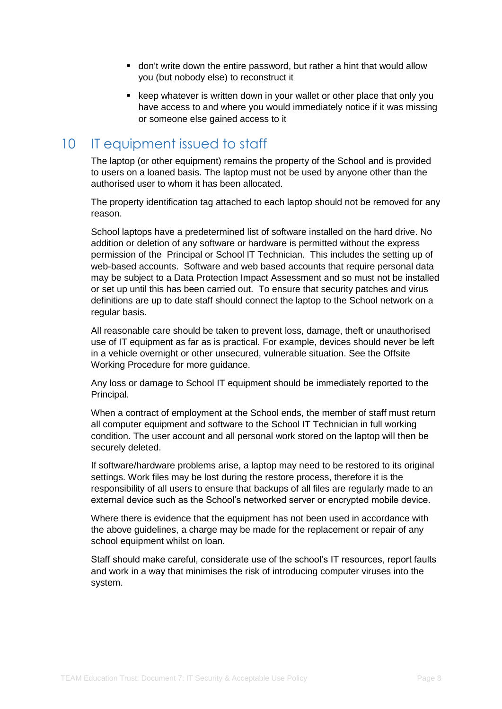- don't write down the entire password, but rather a hint that would allow you (but nobody else) to reconstruct it
- keep whatever is written down in your wallet or other place that only you have access to and where you would immediately notice if it was missing or someone else gained access to it

# <span id="page-10-0"></span>10 IT equipment issued to staff

The laptop (or other equipment) remains the property of the School and is provided to users on a loaned basis. The laptop must not be used by anyone other than the authorised user to whom it has been allocated.

The property identification tag attached to each laptop should not be removed for any reason.

School laptops have a predetermined list of software installed on the hard drive. No addition or deletion of any software or hardware is permitted without the express permission of the Principal or School IT Technician. This includes the setting up of web-based accounts. Software and web based accounts that require personal data may be subject to a Data Protection Impact Assessment and so must not be installed or set up until this has been carried out. To ensure that security patches and virus definitions are up to date staff should connect the laptop to the School network on a regular basis.

All reasonable care should be taken to prevent loss, damage, theft or unauthorised use of IT equipment as far as is practical. For example, devices should never be left in a vehicle overnight or other unsecured, vulnerable situation. See the Offsite Working Procedure for more guidance.

Any loss or damage to School IT equipment should be immediately reported to the Principal.

When a contract of employment at the School ends, the member of staff must return all computer equipment and software to the School IT Technician in full working condition. The user account and all personal work stored on the laptop will then be securely deleted.

If software/hardware problems arise, a laptop may need to be restored to its original settings. Work files may be lost during the restore process, therefore it is the responsibility of all users to ensure that backups of all files are regularly made to an external device such as the School's networked server or encrypted mobile device.

Where there is evidence that the equipment has not been used in accordance with the above guidelines, a charge may be made for the replacement or repair of any school equipment whilst on loan.

Staff should make careful, considerate use of the school's IT resources, report faults and work in a way that minimises the risk of introducing computer viruses into the system.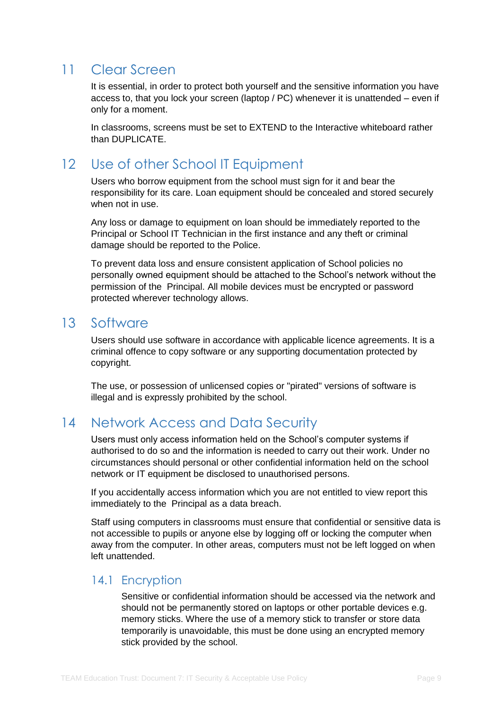# <span id="page-11-0"></span>11 Clear Screen

It is essential, in order to protect both yourself and the sensitive information you have access to, that you lock your screen (laptop / PC) whenever it is unattended – even if only for a moment.

In classrooms, screens must be set to EXTEND to the Interactive whiteboard rather than DUPLICATE.

# <span id="page-11-1"></span>12 Use of other School IT Equipment

Users who borrow equipment from the school must sign for it and bear the responsibility for its care. Loan equipment should be concealed and stored securely when not in use.

Any loss or damage to equipment on loan should be immediately reported to the Principal or School IT Technician in the first instance and any theft or criminal damage should be reported to the Police.

To prevent data loss and ensure consistent application of School policies no personally owned equipment should be attached to the School's network without the permission of the Principal. All mobile devices must be encrypted or password protected wherever technology allows.

# <span id="page-11-2"></span>13 Software

Users should use software in accordance with applicable licence agreements. It is a criminal offence to copy software or any supporting documentation protected by copyright.

The use, or possession of unlicensed copies or "pirated" versions of software is illegal and is expressly prohibited by the school.

# <span id="page-11-3"></span>14 Network Access and Data Security

Users must only access information held on the School's computer systems if authorised to do so and the information is needed to carry out their work. Under no circumstances should personal or other confidential information held on the school network or IT equipment be disclosed to unauthorised persons.

If you accidentally access information which you are not entitled to view report this immediately to the Principal as a data breach.

Staff using computers in classrooms must ensure that confidential or sensitive data is not accessible to pupils or anyone else by logging off or locking the computer when away from the computer. In other areas, computers must not be left logged on when left unattended.

### <span id="page-11-4"></span>14.1 Encryption

Sensitive or confidential information should be accessed via the network and should not be permanently stored on laptops or other portable devices e.g. memory sticks. Where the use of a memory stick to transfer or store data temporarily is unavoidable, this must be done using an encrypted memory stick provided by the school.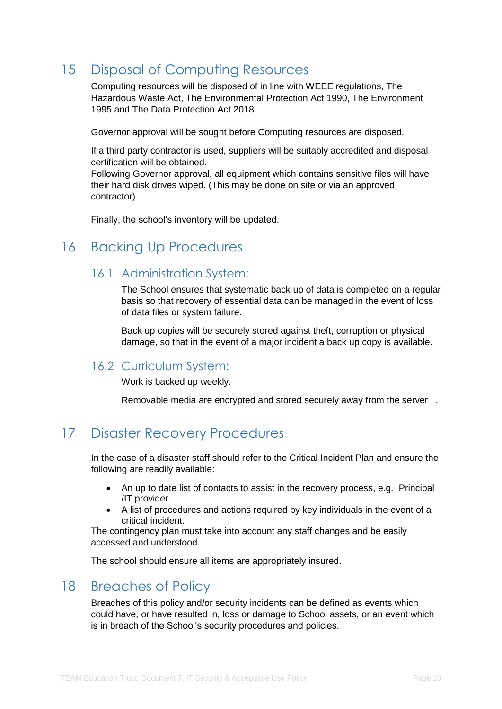# <span id="page-12-0"></span>15 Disposal of Computing Resources

Computing resources will be disposed of in line with WEEE regulations, The Hazardous Waste Act, The Environmental Protection Act 1990, The Environment 1995 and The Data Protection Act 2018

Governor approval will be sought before Computing resources are disposed.

If a third party contractor is used, suppliers will be suitably accredited and disposal certification will be obtained.

Following Governor approval, all equipment which contains sensitive files will have their hard disk drives wiped. (This may be done on site or via an approved contractor)

Finally, the school's inventory will be updated.

# <span id="page-12-2"></span><span id="page-12-1"></span>16 Backing Up Procedures

### 16.1 Administration System:

The School ensures that systematic back up of data is completed on a regular basis so that recovery of essential data can be managed in the event of loss of data files or system failure.

Back up copies will be securely stored against theft, corruption or physical damage, so that in the event of a major incident a back up copy is available.

### <span id="page-12-3"></span>16.2 Curriculum System:

Work is backed up weekly.

Removable media are encrypted and stored securely away from the server .

# <span id="page-12-4"></span>17 Disaster Recovery Procedures

In the case of a disaster staff should refer to the Critical Incident Plan and ensure the following are readily available:

- An up to date list of contacts to assist in the recovery process, e.g. Principal /IT provider.
- A list of procedures and actions required by key individuals in the event of a critical incident.

The contingency plan must take into account any staff changes and be easily accessed and understood.

The school should ensure all items are appropriately insured.

# <span id="page-12-5"></span>18 Breaches of Policy

Breaches of this policy and/or security incidents can be defined as events which could have, or have resulted in, loss or damage to School assets, or an event which is in breach of the School's security procedures and policies.